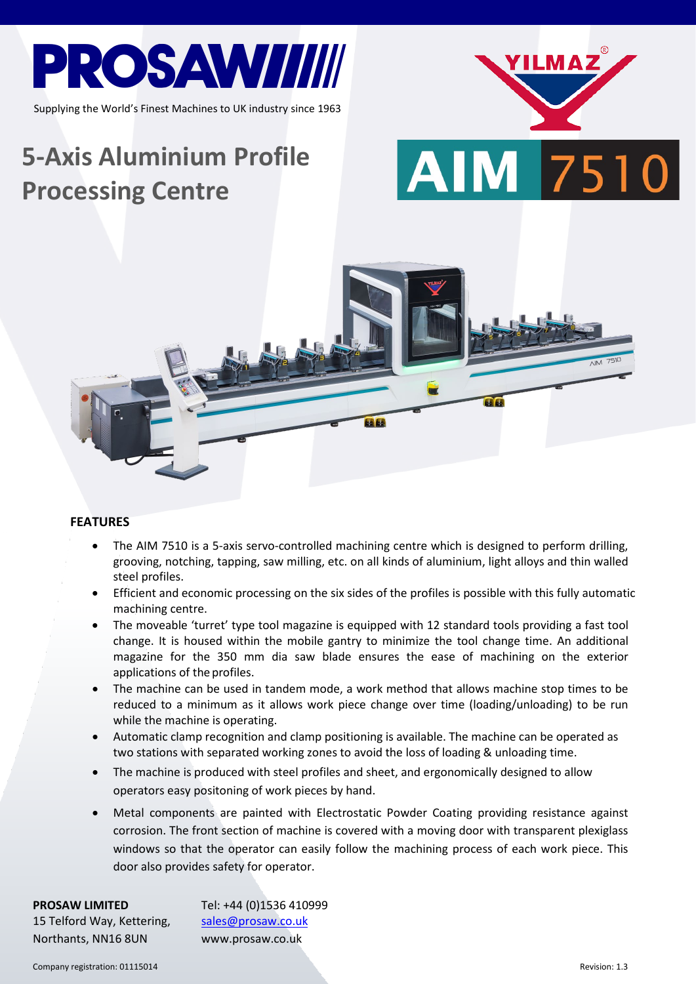

Supplying the World's Finest Machines to UK industry since 1963

# **5-Axis Aluminium Profile Processing Centre**





#### **FEATURES**

- The AIM 7510 is a 5-axis servo-controlled machining centre which is designed to perform drilling, grooving, notching, tapping, saw milling, etc. on all kinds of aluminium, light alloys and thin walled steel profiles.
- Efficient and economic processing on the six sides of the profiles is possible with this fully automatic machining centre.
- The moveable 'turret' type tool magazine is equipped with 12 standard tools providing a fast tool change. It is housed within the mobile gantry to minimize the tool change time. An additional magazine for the 350 mm dia saw blade ensures the ease of machining on the exterior applications of the profiles.
- The machine can be used in tandem mode, a work method that allows machine stop times to be reduced to a minimum as it allows work piece change over time (loading/unloading) to be run while the machine is operating.
- Automatic clamp recognition and clamp positioning is available. The machine can be operated as two stations with separated working zones to avoid the loss of loading & unloading time.
- The machine is produced with steel profiles and sheet, and ergonomically designed to allow operators easy positoning of work pieces by hand.
- Metal components are painted with Electrostatic Powder Coating providing resistance against corrosion. The front section of machine is covered with a moving door with transparent plexiglass windows so that the operator can easily follow the machining process of each work piece. This door also provides safety for operator.

| Tel: +44 (0)1536 410999 |
|-------------------------|
| sales@prosaw.co.uk      |
| www.prosaw.co.uk        |
|                         |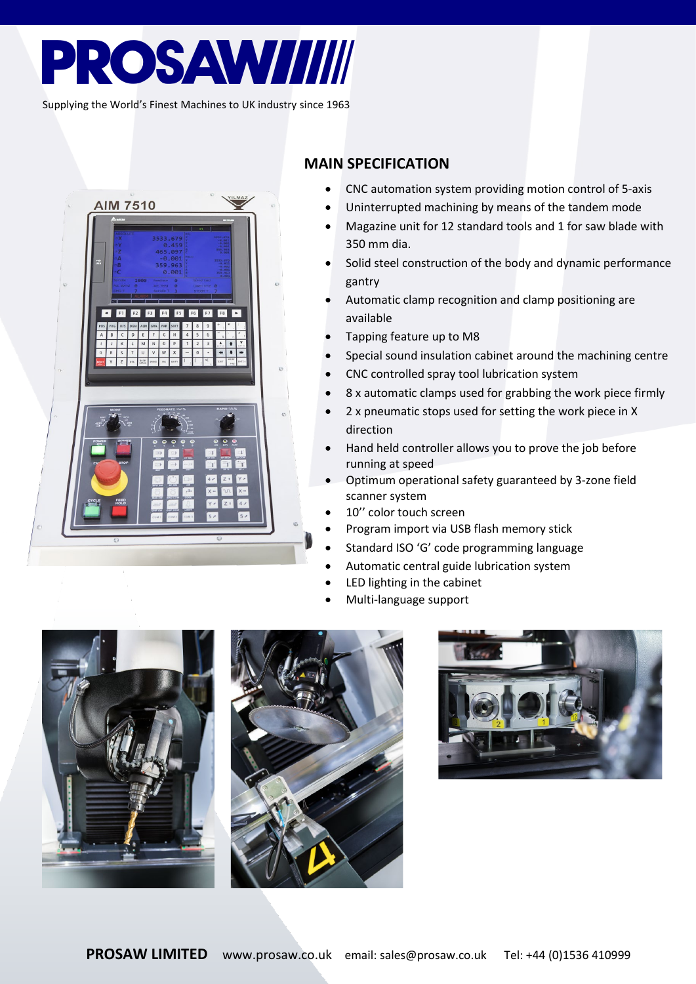## **PROSAWIIIII**

Supplying the World's Finest Machines to UK industry since 1963



### **MAIN SPECIFICATION**

- CNC automation system providing motion control of 5-axis
- Uninterrupted machining by means of the tandem mode
- Magazine unit for 12 standard tools and 1 for saw blade with 350 mm dia.
- Solid steel construction of the body and dynamic performance gantry
- Automatic clamp recognition and clamp positioning are available
- Tapping feature up to M8
- Special sound insulation cabinet around the machining centre
- CNC controlled spray tool lubrication system
- 8 x automatic clamps used for grabbing the work piece firmly
- 2 x pneumatic stops used for setting the work piece in X direction
- Hand held controller allows you to prove the job before running at speed
- Optimum operational safety guaranteed by 3-zone field scanner system
- 10" color touch screen
- Program import via USB flash memory stick
- Standard ISO 'G' code programming language
- Automatic central guide lubrication system
- LED lighting in the cabinet
- Multi-language support